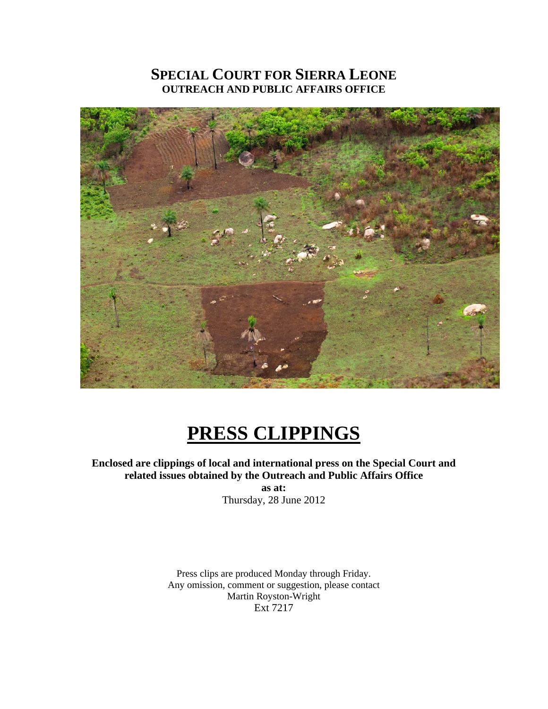### **SPECIAL COURT FOR SIERRA LEONE OUTREACH AND PUBLIC AFFAIRS OFFICE**



## **PRESS CLIPPINGS**

**Enclosed are clippings of local and international press on the Special Court and related issues obtained by the Outreach and Public Affairs Office** 

**as at:**  Thursday, 28 June 2012

Press clips are produced Monday through Friday. Any omission, comment or suggestion, please contact Martin Royston-Wright Ext 7217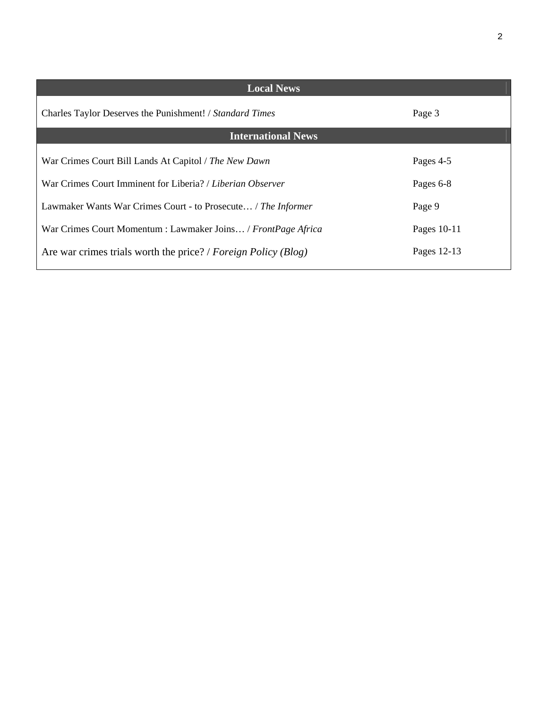| <b>Local News</b>                                                  |             |
|--------------------------------------------------------------------|-------------|
| Charles Taylor Deserves the Punishment! / Standard Times           | Page 3      |
| <b>International News</b>                                          |             |
| War Crimes Court Bill Lands At Capitol / The New Dawn              | Pages 4-5   |
| War Crimes Court Imminent for Liberia? <i>/ Liberian Observer</i>  | Pages 6-8   |
| Lawmaker Wants War Crimes Court - to Prosecute <i>The Informer</i> | Page 9      |
| War Crimes Court Momentum : Lawmaker Joins / FrontPage Africa      | Pages 10-11 |
| Are war crimes trials worth the price? / Foreign Policy (Blog)     | Pages 12-13 |
|                                                                    |             |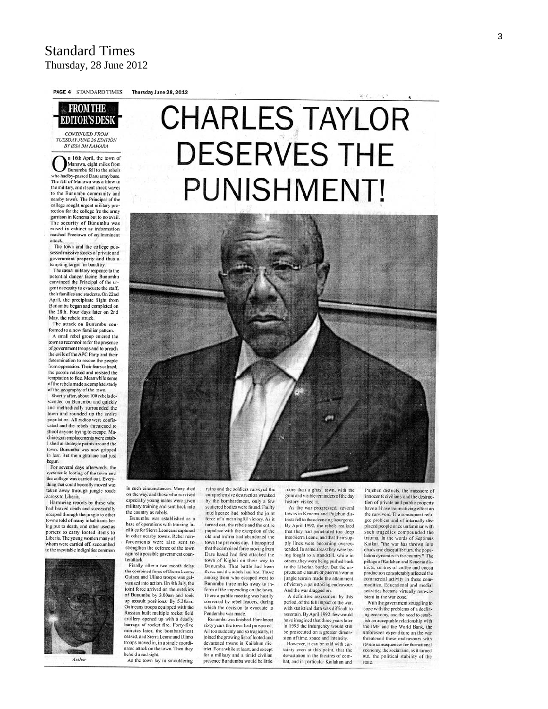### Standard Times Thursday, 28 June 2012

#### PAGE 4 STANDARD TIMES

Thursday June 28, 2012



TUESDAY JUNE 26 EDITION **BY ISSA BM KAMARA** 

n 16th April, the town of Manowa, eight miles from Bunumbu fell to the rebels who had by-passed Daru army base.<br>The fall of Manowa was a blow to<br>the military, and it sent shock waves the miniary, and it sell shock waves nearby towns. The Principal of the college sought urgent military pro-<br>tection for the college fro the army garrison in Kenema but to no avail. The security of Bunumbu was raised in cabinet as information reached Freetown of an imminent attack.

The town and the college possessed massive stocks of private and government property and thus a<br>tempting target for banditry.

The casual military response to the<br>potential danger facing Bunumbu convinced the Principal of the urgent necessity to evacuate the staff, their families and students. On 22nd April, the precipitate flight from Bunumbu began and completed on the 28th. Four days later on 2nd May, the rebels struck.

The attack on Bunumbu conformed to a now familiar pattern

A small rebel group entered the town to reconnoitre for the presence of government troops and to preach the evils of the APC Party and their determination to rescue the people from oppression. Their fears calmed. the people relaxed and resisted the<br>temptation to flee. Meanwhile some of the rebels made a complete study of the geography of the town.

Shortly after, about 100 rebels descended on Bunumbu and quickly and methodically surrounded the town and rounded up the entire population. All radios were confiscated and the rebels threatened to shoot anyone trying to escape. Ma-<br>chine gun emplacements were established at strategic points around the town. Bunumbu was now gripped in fear. But the nightmare had just begun.

For several days afterwards, the systematic looting of the to the college was carried out. Everything that could be easily moved was taken away through jungle roads across to Liberia.

Harrowing reports by those who<br>had braved death and successfully escaped through the jungle to other<br>towns told of many inhabitants being put to death, and other used as porters to carry looted items to Liberia. The young women many of<br>whom were carried off, succumbed to the inevitable indignities common



# **CHARLES TAYLOR DESERVES THE PUNISHMENT!**



in such circumstances. Many died on the way, and those who survived especially young males were given military training and sent back into the country as rebels.

Bunumbu was established as a base of operations with training fa-<br>cilities for Sierra Leoneans captured in other nearby towns. Rebel reinforcements were also sent to strengthen the defence of the town against a possible government counterattack.

Finally, after a two month delay the combined force of Sierra Leone,<br>Guinea and Ulimo troops was galvanized into action. On 4th July, the joint force arrived on the outskirts of Bunumbu by 3.00am and took up assault positions. By 5.30am, Guineans troops equipped with the<br>Russian built multiple rocket field artillery opened up with a deadly<br>barrage of rocket fire. Forty-five minutes later, the bombardment ceased, and Sierra Leone and Ulimo troops moved in, in a single coordinated attack on the town. Then they beheld a sad sight.

As the town lay in smouldering

comprehensive destruction wreaked grim and visible reminders of the day by the bombardment, only a few history visited it. scattered bodies were found. Faulty As the war progressed, several intelligence had robbed the joint towns in Kenema and Pujehun disforce of a meaningful victory. As it tricts fell to the advancing insurgents turned out, the rebels and the entire By April 1992, the rebels realized populace with the exception of the<br>old and infirm had abandoned the that they had penetrated too deep town the previous day. It transpired that the combined force moving from

Daru based had first attacked the

town of Kigbai on their way to

Bunumbu, That battle had been

fierce and the rebels had lost. Those

among them who escaped went to

Bunumbu three miles away to in-

form of the impending on the town.

There a public meeting was hastily

convened by rebel leaders, during

which the decision to evacuate to

Bunumbu was finished. For almost

sixty years the town had prospered.

All too suddenly and so tragically, it

joined the growing list of looted and

devastated towns in Kailahun dis-

trict. For a while at least, and except

for a military and a timid civilian

presence Bundumbu would be little

Pendembu was made.

into Sierra Leone, and that their sup ply lines were becoming overextended. In some areas they were being fought to a standstill, while in others, they were being pushed back to the Liberian border. But the unpredictable nature of guerrilla war in jungle terrain made the attainment of victory a painstaking endeavour.

nore than a ghost town, with the

And the war dragged on.<br>A definitive assessment by this period, of the full impact of the war, with statistical data was difficult to ascertain. By April 1992, few would have imagined that three years later in 1995 the insurgency would still be prosecuted on a greater dimension of time, space and intensity.

However, it can be said with certainty even at this point, that the devastation in the theatres of combat, and in particular Kailahun and

Pujehun districts, the r innocents civilians and the destruction of private and public property have all have traumatizing effect on the survivors. The consequent refugee problem and of internally displaced people once unfamiliar with<br>such tragedies compounded the trauma. In the words of Septimus Kaikai, "the war has thrown into chaos and disequilibrium, the population dynamics in the country." The pillage of Kailahun and Kenema districts, centres of coffee and cocoa production considerably affected the commercial activity in these commodities. Educational and medial activities became virtually non-existent in the war zone.

With the government struggling to cope with the problems of a declining economy, and the need to estab lish an acceptable relationship with<br>the IMF and the World Bank, the unforeseen expenditure on the war threatened these endeavours with severe consequences for the national<br>economy, the social and, as it turned out, the political stability of the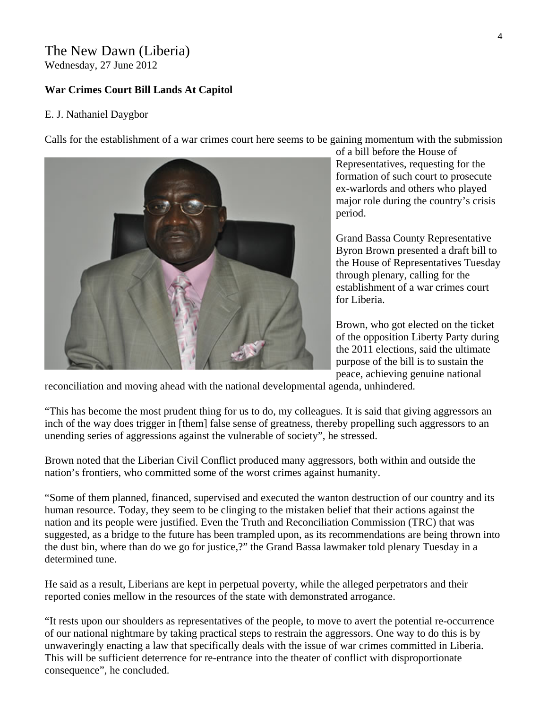### The New Dawn (Liberia) Wednesday, 27 June 2012

### **War Crimes Court Bill Lands At Capitol**

### E. J. Nathaniel Daygbor

Calls for the establishment of a war crimes court here seems to be gaining momentum with the submission



of a bill before the House of Representatives, requesting for the formation of such court to prosecute ex-warlords and others who played major role during the country's crisis period.

Grand Bassa County Representative Byron Brown presented a draft bill to the House of Representatives Tuesday through plenary, calling for the establishment of a war crimes court for Liberia.

Brown, who got elected on the ticket of the opposition Liberty Party during the 2011 elections, said the ultimate purpose of the bill is to sustain the peace, achieving genuine national

reconciliation and moving ahead with the national developmental agenda, unhindered.

"This has become the most prudent thing for us to do, my colleagues. It is said that giving aggressors an inch of the way does trigger in [them] false sense of greatness, thereby propelling such aggressors to an unending series of aggressions against the vulnerable of society", he stressed.

Brown noted that the Liberian Civil Conflict produced many aggressors, both within and outside the nation's frontiers, who committed some of the worst crimes against humanity.

"Some of them planned, financed, supervised and executed the wanton destruction of our country and its human resource. Today, they seem to be clinging to the mistaken belief that their actions against the nation and its people were justified. Even the Truth and Reconciliation Commission (TRC) that was suggested, as a bridge to the future has been trampled upon, as its recommendations are being thrown into the dust bin, where than do we go for justice,?" the Grand Bassa lawmaker told plenary Tuesday in a determined tune.

He said as a result, Liberians are kept in perpetual poverty, while the alleged perpetrators and their reported conies mellow in the resources of the state with demonstrated arrogance.

"It rests upon our shoulders as representatives of the people, to move to avert the potential re-occurrence of our national nightmare by taking practical steps to restrain the aggressors. One way to do this is by unwaveringly enacting a law that specifically deals with the issue of war crimes committed in Liberia. This will be sufficient deterrence for re-entrance into the theater of conflict with disproportionate consequence", he concluded.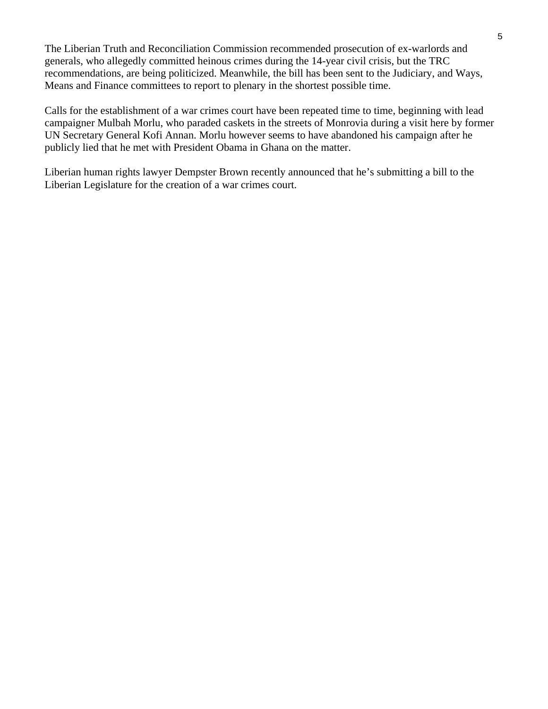The Liberian Truth and Reconciliation Commission recommended prosecution of ex-warlords and generals, who allegedly committed heinous crimes during the 14-year civil crisis, but the TRC recommendations, are being politicized. Meanwhile, the bill has been sent to the Judiciary, and Ways, Means and Finance committees to report to plenary in the shortest possible time.

Calls for the establishment of a war crimes court have been repeated time to time, beginning with lead campaigner Mulbah Morlu, who paraded caskets in the streets of Monrovia during a visit here by former UN Secretary General Kofi Annan. Morlu however seems to have abandoned his campaign after he publicly lied that he met with President Obama in Ghana on the matter.

Liberian human rights lawyer Dempster Brown recently announced that he's submitting a bill to the Liberian Legislature for the creation of a war crimes court.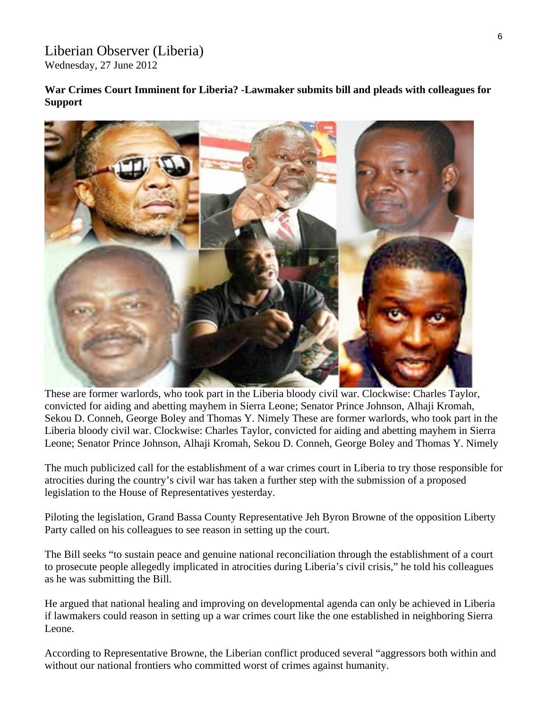### Liberian Observer (Liberia)

Wednesday, 27 June 2012

**War Crimes Court Imminent for Liberia? -Lawmaker submits bill and pleads with colleagues for Support** 



These are former warlords, who took part in the Liberia bloody civil war. Clockwise: Charles Taylor, convicted for aiding and abetting mayhem in Sierra Leone; Senator Prince Johnson, Alhaji Kromah, Sekou D. Conneh, George Boley and Thomas Y. Nimely These are former warlords, who took part in the Liberia bloody civil war. Clockwise: Charles Taylor, convicted for aiding and abetting mayhem in Sierra Leone; Senator Prince Johnson, Alhaji Kromah, Sekou D. Conneh, George Boley and Thomas Y. Nimely

The much publicized call for the establishment of a war crimes court in Liberia to try those responsible for atrocities during the country's civil war has taken a further step with the submission of a proposed legislation to the House of Representatives yesterday.

Piloting the legislation, Grand Bassa County Representative Jeh Byron Browne of the opposition Liberty Party called on his colleagues to see reason in setting up the court.

The Bill seeks "to sustain peace and genuine national reconciliation through the establishment of a court to prosecute people allegedly implicated in atrocities during Liberia's civil crisis," he told his colleagues as he was submitting the Bill.

He argued that national healing and improving on developmental agenda can only be achieved in Liberia if lawmakers could reason in setting up a war crimes court like the one established in neighboring Sierra Leone.

According to Representative Browne, the Liberian conflict produced several "aggressors both within and without our national frontiers who committed worst of crimes against humanity.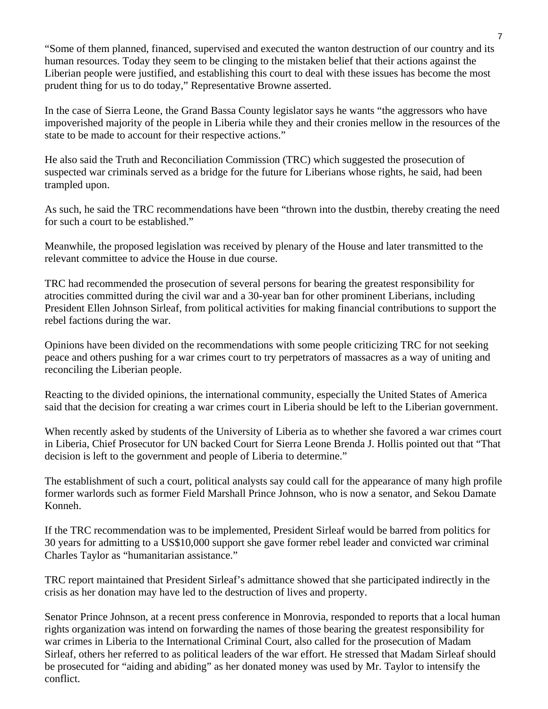"Some of them planned, financed, supervised and executed the wanton destruction of our country and its human resources. Today they seem to be clinging to the mistaken belief that their actions against the Liberian people were justified, and establishing this court to deal with these issues has become the most prudent thing for us to do today," Representative Browne asserted.

In the case of Sierra Leone, the Grand Bassa County legislator says he wants "the aggressors who have impoverished majority of the people in Liberia while they and their cronies mellow in the resources of the state to be made to account for their respective actions."

He also said the Truth and Reconciliation Commission (TRC) which suggested the prosecution of suspected war criminals served as a bridge for the future for Liberians whose rights, he said, had been trampled upon.

As such, he said the TRC recommendations have been "thrown into the dustbin, thereby creating the need for such a court to be established."

Meanwhile, the proposed legislation was received by plenary of the House and later transmitted to the relevant committee to advice the House in due course.

TRC had recommended the prosecution of several persons for bearing the greatest responsibility for atrocities committed during the civil war and a 30-year ban for other prominent Liberians, including President Ellen Johnson Sirleaf, from political activities for making financial contributions to support the rebel factions during the war.

Opinions have been divided on the recommendations with some people criticizing TRC for not seeking peace and others pushing for a war crimes court to try perpetrators of massacres as a way of uniting and reconciling the Liberian people.

Reacting to the divided opinions, the international community, especially the United States of America said that the decision for creating a war crimes court in Liberia should be left to the Liberian government.

When recently asked by students of the University of Liberia as to whether she favored a war crimes court in Liberia, Chief Prosecutor for UN backed Court for Sierra Leone Brenda J. Hollis pointed out that "That decision is left to the government and people of Liberia to determine."

The establishment of such a court, political analysts say could call for the appearance of many high profile former warlords such as former Field Marshall Prince Johnson, who is now a senator, and Sekou Damate Konneh.

If the TRC recommendation was to be implemented, President Sirleaf would be barred from politics for 30 years for admitting to a US\$10,000 support she gave former rebel leader and convicted war criminal Charles Taylor as "humanitarian assistance."

TRC report maintained that President Sirleaf's admittance showed that she participated indirectly in the crisis as her donation may have led to the destruction of lives and property.

Senator Prince Johnson, at a recent press conference in Monrovia, responded to reports that a local human rights organization was intend on forwarding the names of those bearing the greatest responsibility for war crimes in Liberia to the International Criminal Court, also called for the prosecution of Madam Sirleaf, others her referred to as political leaders of the war effort. He stressed that Madam Sirleaf should be prosecuted for "aiding and abiding" as her donated money was used by Mr. Taylor to intensify the conflict.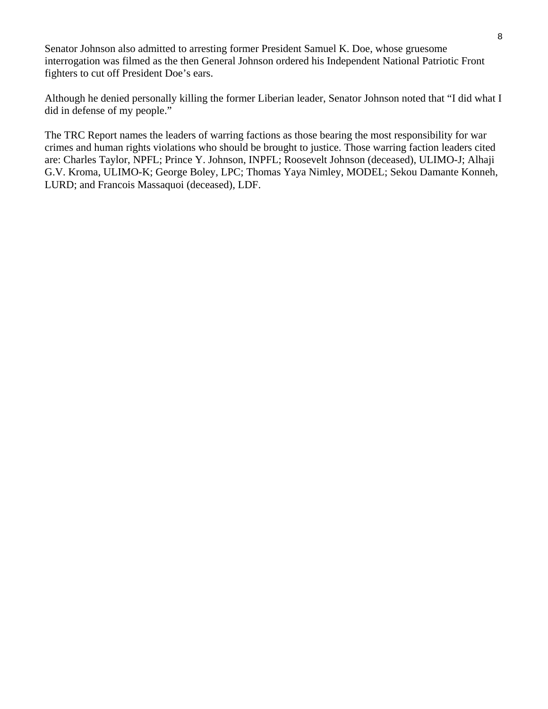Senator Johnson also admitted to arresting former President Samuel K. Doe, whose gruesome interrogation was filmed as the then General Johnson ordered his Independent National Patriotic Front fighters to cut off President Doe's ears.

Although he denied personally killing the former Liberian leader, Senator Johnson noted that "I did what I did in defense of my people."

The TRC Report names the leaders of warring factions as those bearing the most responsibility for war crimes and human rights violations who should be brought to justice. Those warring faction leaders cited are: Charles Taylor, NPFL; Prince Y. Johnson, INPFL; Roosevelt Johnson (deceased), ULIMO-J; Alhaji G.V. Kroma, ULIMO-K; George Boley, LPC; Thomas Yaya Nimley, MODEL; Sekou Damante Konneh, LURD; and Francois Massaquoi (deceased), LDF.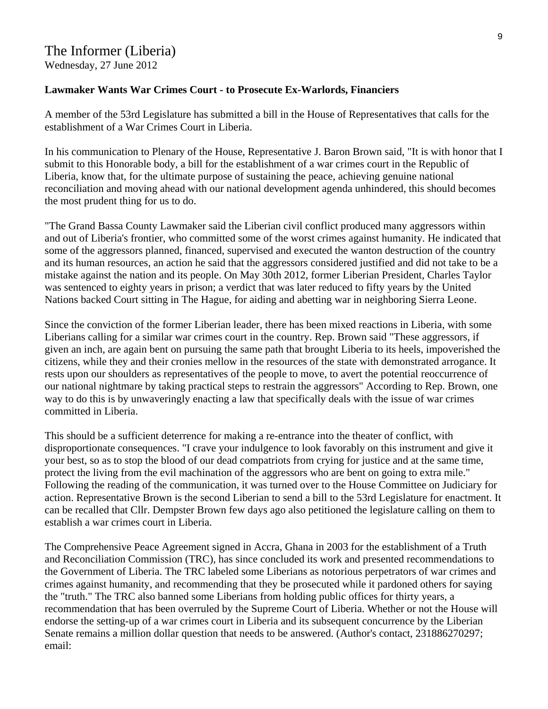### The Informer (Liberia)

Wednesday, 27 June 2012

#### **Lawmaker Wants War Crimes Court - to Prosecute Ex-Warlords, Financiers**

A member of the 53rd Legislature has submitted a bill in the House of Representatives that calls for the establishment of a War Crimes Court in Liberia.

In his communication to Plenary of the House, Representative J. Baron Brown said, "It is with honor that I submit to this Honorable body, a bill for the establishment of a war crimes court in the Republic of Liberia, know that, for the ultimate purpose of sustaining the peace, achieving genuine national reconciliation and moving ahead with our national development agenda unhindered, this should becomes the most prudent thing for us to do.

"The Grand Bassa County Lawmaker said the Liberian civil conflict produced many aggressors within and out of Liberia's frontier, who committed some of the worst crimes against humanity. He indicated that some of the aggressors planned, financed, supervised and executed the wanton destruction of the country and its human resources, an action he said that the aggressors considered justified and did not take to be a mistake against the nation and its people. On May 30th 2012, former Liberian President, Charles Taylor was sentenced to eighty years in prison; a verdict that was later reduced to fifty years by the United Nations backed Court sitting in The Hague, for aiding and abetting war in neighboring Sierra Leone.

Since the conviction of the former Liberian leader, there has been mixed reactions in Liberia, with some Liberians calling for a similar war crimes court in the country. Rep. Brown said "These aggressors, if given an inch, are again bent on pursuing the same path that brought Liberia to its heels, impoverished the citizens, while they and their cronies mellow in the resources of the state with demonstrated arrogance. It rests upon our shoulders as representatives of the people to move, to avert the potential reoccurrence of our national nightmare by taking practical steps to restrain the aggressors" According to Rep. Brown, one way to do this is by unwaveringly enacting a law that specifically deals with the issue of war crimes committed in Liberia.

This should be a sufficient deterrence for making a re-entrance into the theater of conflict, with disproportionate consequences. "I crave your indulgence to look favorably on this instrument and give it your best, so as to stop the blood of our dead compatriots from crying for justice and at the same time, protect the living from the evil machination of the aggressors who are bent on going to extra mile." Following the reading of the communication, it was turned over to the House Committee on Judiciary for action. Representative Brown is the second Liberian to send a bill to the 53rd Legislature for enactment. It can be recalled that Cllr. Dempster Brown few days ago also petitioned the legislature calling on them to establish a war crimes court in Liberia.

The Comprehensive Peace Agreement signed in Accra, Ghana in 2003 for the establishment of a Truth and Reconciliation Commission (TRC), has since concluded its work and presented recommendations to the Government of Liberia. The TRC labeled some Liberians as notorious perpetrators of war crimes and crimes against humanity, and recommending that they be prosecuted while it pardoned others for saying the "truth." The TRC also banned some Liberians from holding public offices for thirty years, a recommendation that has been overruled by the Supreme Court of Liberia. Whether or not the House will endorse the setting-up of a war crimes court in Liberia and its subsequent concurrence by the Liberian Senate remains a million dollar question that needs to be answered. (Author's contact, 231886270297; email: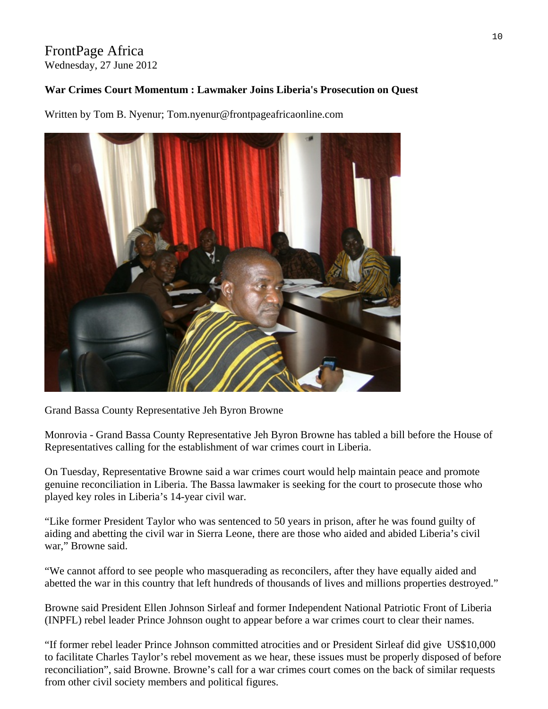### FrontPage Africa Wednesday, 27 June 2012

### **War Crimes Court Momentum : Lawmaker Joins Liberia's Prosecution on Quest**

Written by Tom B. Nyenur; Tom.nyenur@frontpageafricaonline.com



Grand Bassa County Representative Jeh Byron Browne

Monrovia - Grand Bassa County Representative Jeh Byron Browne has tabled a bill before the House of Representatives calling for the establishment of war crimes court in Liberia.

On Tuesday, Representative Browne said a war crimes court would help maintain peace and promote genuine reconciliation in Liberia. The Bassa lawmaker is seeking for the court to prosecute those who played key roles in Liberia's 14-year civil war.

"Like former President Taylor who was sentenced to 50 years in prison, after he was found guilty of aiding and abetting the civil war in Sierra Leone, there are those who aided and abided Liberia's civil war," Browne said.

"We cannot afford to see people who masquerading as reconcilers, after they have equally aided and abetted the war in this country that left hundreds of thousands of lives and millions properties destroyed."

Browne said President Ellen Johnson Sirleaf and former Independent National Patriotic Front of Liberia (INPFL) rebel leader Prince Johnson ought to appear before a war crimes court to clear their names.

"If former rebel leader Prince Johnson committed atrocities and or President Sirleaf did give US\$10,000 to facilitate Charles Taylor's rebel movement as we hear, these issues must be properly disposed of before reconciliation", said Browne. Browne's call for a war crimes court comes on the back of similar requests from other civil society members and political figures.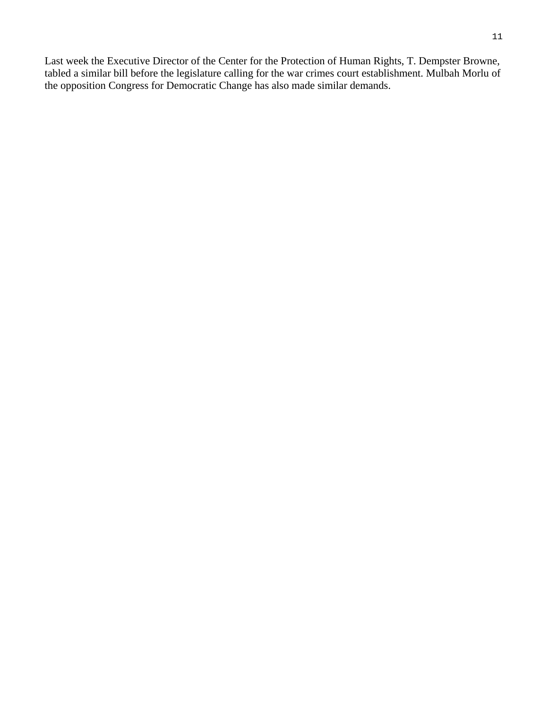Last week the Executive Director of the Center for the Protection of Human Rights, T. Dempster Browne, tabled a similar bill before the legislature calling for the war crimes court establishment. Mulbah Morlu of the opposition Congress for Democratic Change has also made similar demands.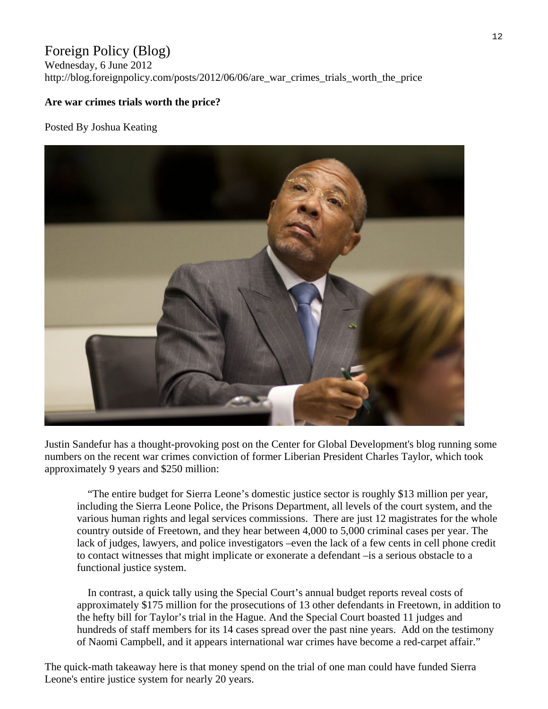### Foreign Policy (Blog)

Wednesday, 6 June 2012 http://blog.foreignpolicy.com/posts/2012/06/06/are\_war\_crimes\_trials\_worth\_the\_price

### **Are war crimes trials worth the price?**

Posted By Joshua Keating



Justin Sandefur has a thought-provoking post on the Center for Global Development's blog running some numbers on the recent war crimes conviction of former Liberian President Charles Taylor, which took approximately 9 years and \$250 million:

 "The entire budget for Sierra Leone's domestic justice sector is roughly \$13 million per year, including the Sierra Leone Police, the Prisons Department, all levels of the court system, and the various human rights and legal services commissions. There are just 12 magistrates for the whole country outside of Freetown, and they hear between 4,000 to 5,000 criminal cases per year. The lack of judges, lawyers, and police investigators –even the lack of a few cents in cell phone credit to contact witnesses that might implicate or exonerate a defendant –is a serious obstacle to a functional justice system.

 In contrast, a quick tally using the Special Court's annual budget reports reveal costs of approximately \$175 million for the prosecutions of 13 other defendants in Freetown, in addition to the hefty bill for Taylor's trial in the Hague. And the Special Court boasted 11 judges and hundreds of staff members for its 14 cases spread over the past nine years. Add on the testimony of Naomi Campbell, and it appears international war crimes have become a red-carpet affair."

The quick-math takeaway here is that money spend on the trial of one man could have funded Sierra Leone's entire justice system for nearly 20 years.